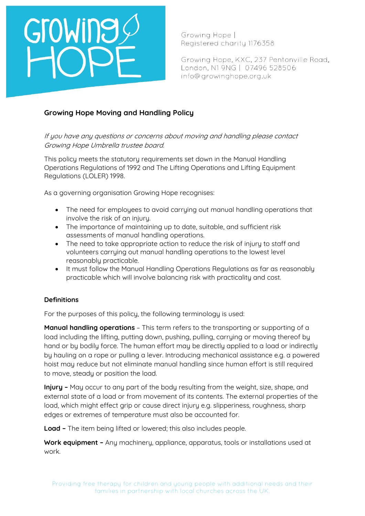# GroWine

Growing Hope | Registered charity 1176358

Growing Hope, KXC, 237 Pentonville Road, London, N1 9NG | 07496 528506 info@growinghope.org.uk

### **Growing Hope Moving and Handling Policy**

If you have any questions or concerns about moving and handling please contact Growing Hope Umbrella trustee board.

This policy meets the statutory requirements set down in the Manual Handling Operations Regulations of 1992 and The Lifting Operations and Lifting Equipment Regulations (LOLER) 1998.

As a governing organisation Growing Hope recognises:

- The need for employees to avoid carrying out manual handling operations that involve the risk of an injury.
- The importance of maintaining up to date, suitable, and sufficient risk assessments of manual handling operations.
- The need to take appropriate action to reduce the risk of injury to staff and volunteers carrying out manual handling operations to the lowest level reasonably practicable.
- It must follow the Manual Handling Operations Regulations as far as reasonably practicable which will involve balancing risk with practicality and cost.

### **Definitions**

For the purposes of this policy, the following terminology is used:

**Manual handling operations** – This term refers to the transporting or supporting of a load including the lifting, putting down, pushing, pulling, carrying or moving thereof by hand or by bodily force. The human effort may be directly applied to a load or indirectly by hauling on a rope or pulling a lever. Introducing mechanical assistance e.g. a powered hoist may reduce but not eliminate manual handling since human effort is still required to move, steady or position the load.

**Injury –** May occur to any part of the body resulting from the weight, size, shape, and external state of a load or from movement of its contents. The external properties of the load, which might effect grip or cause direct injury e.g. slipperiness, roughness, sharp edges or extremes of temperature must also be accounted for.

**Load –** The item being lifted or lowered; this also includes people.

**Work equipment –** Any machinery, appliance, apparatus, tools or installations used at work.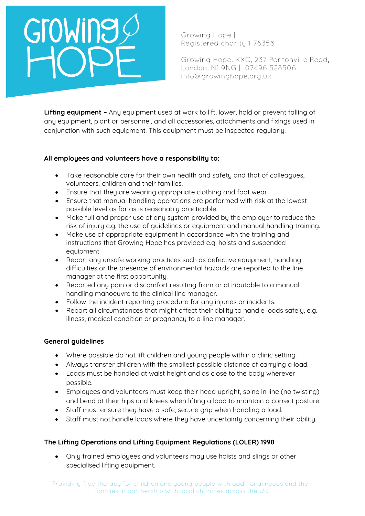## Growine

Growing Hope | Registered charity 1176358

Growing Hope, KXC, 237 Pentonville Road, London, N1 9NG | 07496 528506 info@growinghope.org.uk

**Lifting equipment –** Any equipment used at work to lift, lower, hold or prevent falling of any equipment, plant or personnel, and all accessories, attachments and fixings used in conjunction with such equipment. This equipment must be inspected regularly.

### **All employees and volunteers have a responsibility to:**

- Take reasonable care for their own health and safety and that of colleagues, volunteers, children and their families.
- Ensure that they are wearing appropriate clothing and foot wear.
- Ensure that manual handling operations are performed with risk at the lowest possible level as far as is reasonably practicable.
- Make full and proper use of any system provided by the employer to reduce the risk of injury e.g. the use of guidelines or equipment and manual handling training.
- Make use of appropriate equipment in accordance with the training and instructions that Growing Hope has provided e.g. hoists and suspended equipment.
- Report any unsafe working practices such as defective equipment, handling difficulties or the presence of environmental hazards are reported to the line manager at the first opportunity.
- Reported any pain or discomfort resulting from or attributable to a manual handling manoeuvre to the clinical line manager.
- Follow the incident reporting procedure for any injuries or incidents.
- Report all circumstances that might affect their ability to handle loads safely, e.g. illness, medical condition or pregnancy to a line manager.

### **General guidelines**

- Where possible do not lift children and young people within a clinic setting.
- Always transfer children with the smallest possible distance of carrying a load.
- Loads must be handled at waist height and as close to the body wherever possible.
- Employees and volunteers must keep their head upright, spine in line (no twisting) and bend at their hips and knees when lifting a load to maintain a correct posture.
- Staff must ensure they have a safe, secure grip when handling a load.
- Staff must not handle loads where they have uncertainty concerning their ability.

### **The Lifting Operations and Lifting Equipment Regulations (LOLER) 1998**

• Only trained employees and volunteers may use hoists and slings or other specialised lifting equipment.

Providing free therapy for children and young people with additional needs and their families in partnership with local churches across the UK.